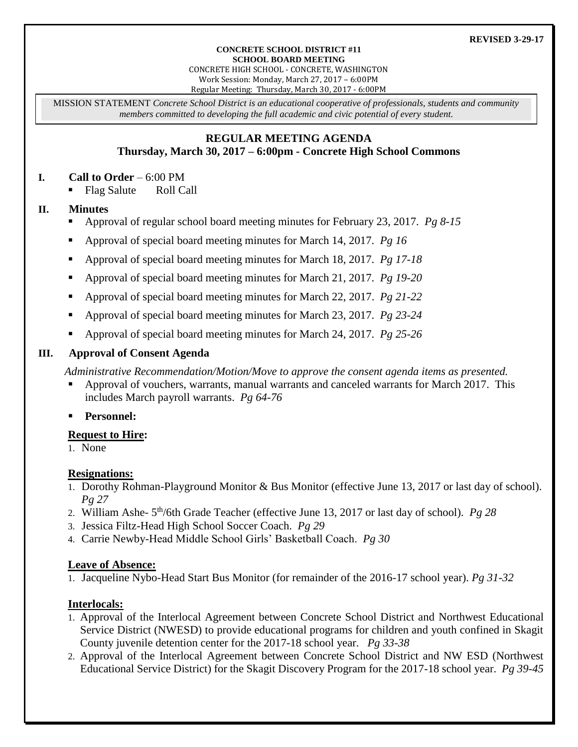#### **CONCRETE SCHOOL DISTRICT #11 SCHOOL BOARD MEETING**

CONCRETE HIGH SCHOOL - CONCRETE, WASHINGTON Work Session: Monday, March 27, 2017 – 6:00PM

Regular Meeting: Thursday, March 30, 2017 - 6:00PM

MISSION STATEMENT *Concrete School District is an educational cooperative of professionals, students and community members committed to developing the full academic and civic potential of every student.*

#### **REGULAR MEETING AGENDA Thursday, March 30, 2017 – 6:00pm - Concrete High School Commons**

#### **I. Call to Order** – 6:00 PM

Flag Salute Roll Call

#### **II. Minutes**

- Approval of regular school board meeting minutes for February 23, 2017. *Pg 8-15*
- Approval of special board meeting minutes for March 14, 2017. *Pg 16*
- Approval of special board meeting minutes for March 18, 2017. *Pg 17-18*
- Approval of special board meeting minutes for March 21, 2017. *Pg 19-20*
- Approval of special board meeting minutes for March 22, 2017. *Pg 21-22*
- Approval of special board meeting minutes for March 23, 2017. *Pg 23-24*
- Approval of special board meeting minutes for March 24, 2017. *Pg 25-26*

#### **III. Approval of Consent Agenda**

*Administrative Recommendation/Motion/Move to approve the consent agenda items as presented.*

- Approval of vouchers, warrants, manual warrants and canceled warrants for March 2017. This includes March payroll warrants. *Pg 64-76*
- **Personnel:**

#### **Request to Hire:**

1. None

#### **Resignations:**

- 1. Dorothy Rohman-Playground Monitor & Bus Monitor (effective June 13, 2017 or last day of school). *Pg 27*
- 2. William Ashe- 5<sup>th</sup>/6th Grade Teacher (effective June 13, 2017 or last day of school). *Pg* 28
- 3. Jessica Filtz-Head High School Soccer Coach. *Pg 29*
- 4. Carrie Newby-Head Middle School Girls' Basketball Coach. *Pg 30*

#### **Leave of Absence:**

1. Jacqueline Nybo-Head Start Bus Monitor (for remainder of the 2016-17 school year). *Pg 31-32*

### **Interlocals:**

- 1. Approval of the Interlocal Agreement between Concrete School District and Northwest Educational Service District (NWESD) to provide educational programs for children and youth confined in Skagit County juvenile detention center for the 2017-18 school year. *Pg 33-38*
- 2. Approval of the Interlocal Agreement between Concrete School District and NW ESD (Northwest Educational Service District) for the Skagit Discovery Program for the 2017-18 school year. *Pg 39-45*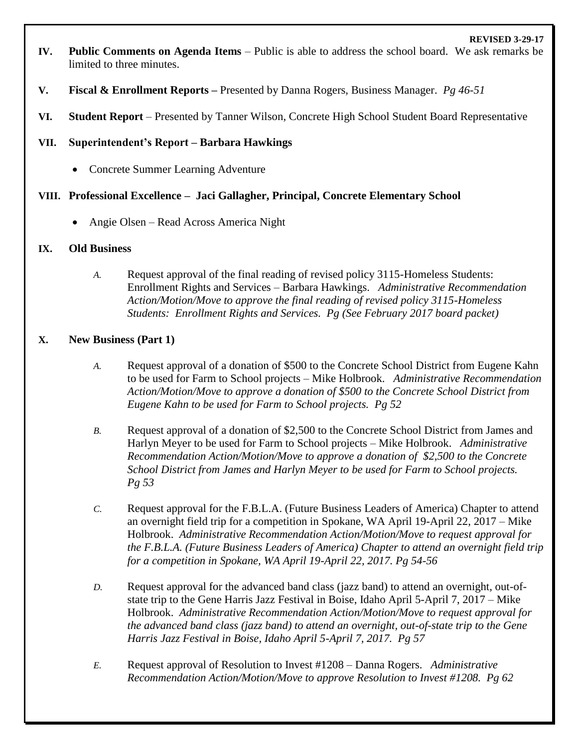- **IV. Public Comments on Agenda Items** Public is able to address the school board. We ask remarks be limited to three minutes.
- **V. Fiscal & Enrollment Reports –** Presented by Danna Rogers, Business Manager. *Pg 46-51*
- **VI. Student Report** Presented by Tanner Wilson, Concrete High School Student Board Representative

## **VII. Superintendent's Report – Barbara Hawkings**

• Concrete Summer Learning Adventure

# **VIII. Professional Excellence – Jaci Gallagher, Principal, Concrete Elementary School**

Angie Olsen – Read Across America Night

### **IX. Old Business**

*A.* Request approval of the final reading of revised policy 3115-Homeless Students: Enrollment Rights and Services – Barbara Hawkings. *Administrative Recommendation Action/Motion/Move to approve the final reading of revised policy 3115-Homeless Students: Enrollment Rights and Services. Pg (See February 2017 board packet)* 

# **X. New Business (Part 1)**

- *A.* Request approval of a donation of \$500 to the Concrete School District from Eugene Kahn to be used for Farm to School projects – Mike Holbrook. *Administrative Recommendation Action/Motion/Move to approve a donation of \$500 to the Concrete School District from Eugene Kahn to be used for Farm to School projects. Pg 52*
- *B.* Request approval of a donation of \$2,500 to the Concrete School District from James and Harlyn Meyer to be used for Farm to School projects – Mike Holbrook. *Administrative Recommendation Action/Motion/Move to approve a donation of \$2,500 to the Concrete School District from James and Harlyn Meyer to be used for Farm to School projects. Pg 53*
- *C.* Request approval for the F.B.L.A. (Future Business Leaders of America) Chapter to attend an overnight field trip for a competition in Spokane, WA April 19-April 22, 2017 – Mike Holbrook. *Administrative Recommendation Action/Motion/Move to request approval for the F.B.L.A. (Future Business Leaders of America) Chapter to attend an overnight field trip for a competition in Spokane, WA April 19-April 22, 2017. Pg 54-56*
- *D.* Request approval for the advanced band class (jazz band) to attend an overnight, out-ofstate trip to the Gene Harris Jazz Festival in Boise, Idaho April 5-April 7, 2017 – Mike Holbrook. *Administrative Recommendation Action/Motion/Move to request approval for the advanced band class (jazz band) to attend an overnight, out-of-state trip to the Gene Harris Jazz Festival in Boise, Idaho April 5-April 7, 2017. Pg 57*
- *E.* Request approval of Resolution to Invest #1208 Danna Rogers. *Administrative Recommendation Action/Motion/Move to approve Resolution to Invest #1208. Pg 62*